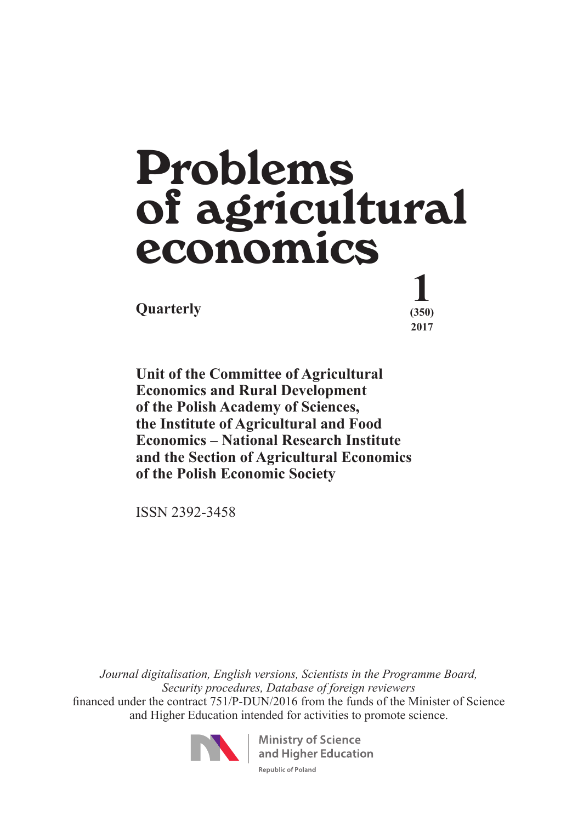# $\Omega$ **Quarterly**  $\begin{array}{c} \frac{1}{(350)} \\ \frac{1}{200} \\ \frac{1}{200} \\ \frac{1}{200} \\ \frac{1}{200} \\ \frac{1}{200} \\ \frac{1}{200} \\ \frac{1}{200} \\ \frac{1}{200} \\ \frac{1}{200} \\ \frac{1}{200} \\ \frac{1}{200} \\ \frac{1}{200} \\ \frac{1}{200} \\ \frac{1}{200} \\ \frac{1}{200} \\ \frac{1}{200} \\ \frac{1}{200} \\ \frac{1}{200} \\ \frac{1}{2$ Problems of agricultural economics

 **(350) 2017**

**Unit of the Committee of Agricultural Economics and Rural Development of the Polish Academy of Sciences, the Institute of Agricultural and Food Economics** – **National Research Institute and the Section of Agricultural Economics of the Polish Economic Society**

ISSN 2392-3458

*Journal digitalisation, English versions, Scientists in the Programme Board, Security procedures, Database of foreign reviewers*  financed under the contract 751/P-DUN/2016 from the funds of the Minister of Science and Higher Education intended for activities to promote science.



**Ministry of Science** and Higher Education Republic of Poland